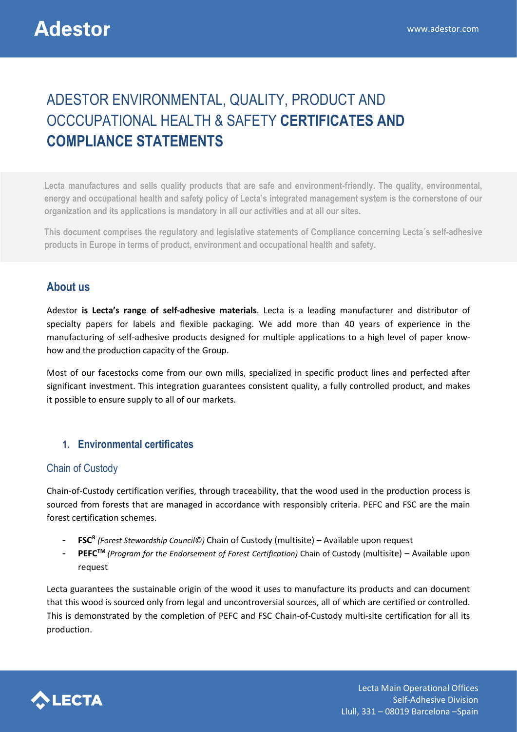# ADESTOR ENVIRONMENTAL, QUALITY, PRODUCT AND OCCCUPATIONAL HEALTH & SAFETY CERTIFICATES AND COMPLIANCE STATEMENTS

Lecta manufactures and sells quality products that are safe and environment-friendly. The quality, environmental, energy and occupational health and safety policy of Lecta's integrated management system is the cornerstone of our organization and its applications is mandatory in all our activities and at all our sites.

This document comprises the regulatory and legislative statements of Compliance concerning Lecta´s self-adhesive products in Europe in terms of product, environment and occupational health and safety.

## About us

Adestor is Lecta's range of self-adhesive materials. Lecta is a leading manufacturer and distributor of specialty papers for labels and flexible packaging. We add more than 40 years of experience in the manufacturing of self-adhesive products designed for multiple applications to a high level of paper knowhow and the production capacity of the Group.

Most of our facestocks come from our own mills, specialized in specific product lines and perfected after significant investment. This integration guarantees consistent quality, a fully controlled product, and makes it possible to ensure supply to all of our markets.

# 1. Environmental certificates

## Chain of Custody

Chain-of-Custody certification verifies, through traceability, that the wood used in the production process is sourced from forests that are managed in accordance with responsibly criteria. PEFC and FSC are the main forest certification schemes.

- FSC<sup>R</sup> (Forest Stewardship Council©) Chain of Custody (multisite) Available upon request
- PEFC<sup>™</sup> (Program for the Endorsement of Forest Certification) Chain of Custody (multisite) Available upon request

Lecta guarantees the sustainable origin of the wood it uses to manufacture its products and can document that this wood is sourced only from legal and uncontroversial sources, all of which are certified or controlled. This is demonstrated by the completion of PEFC and FSC Chain-of-Custody multi-site certification for all its production.

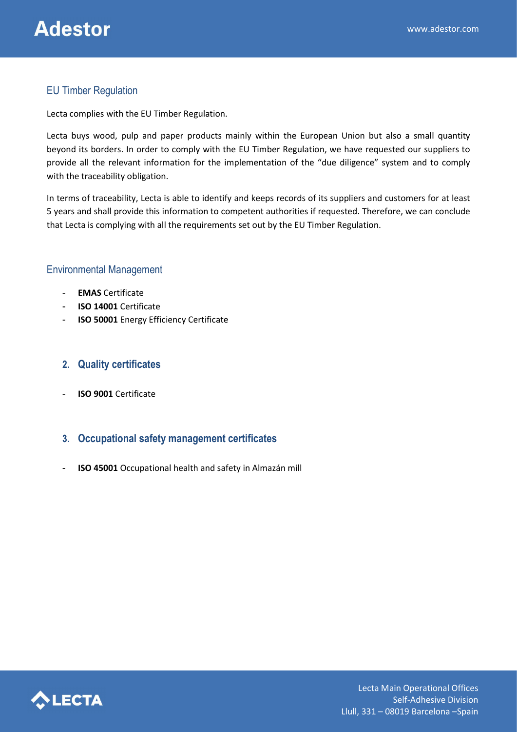# EU Timber Regulation

Lecta complies with the EU Timber Regulation.

Lecta buys wood, pulp and paper products mainly within the European Union but also a small quantity beyond its borders. In order to comply with the EU Timber Regulation, we have requested our suppliers to provide all the relevant information for the implementation of the "due diligence" system and to comply with the traceability obligation.

In terms of traceability, Lecta is able to identify and keeps records of its suppliers and customers for at least 5 years and shall provide this information to competent authorities if requested. Therefore, we can conclude that Lecta is complying with all the requirements set out by the EU Timber Regulation.

## Environmental Management

- **EMAS Certificate**
- ISO 14001 Certificate
- **ISO 50001 Energy Efficiency Certificate**

## 2. Quality certificates

- ISO 9001 Certificate

## 3. Occupational safety management certificates

- ISO 45001 Occupational health and safety in Almazán mill

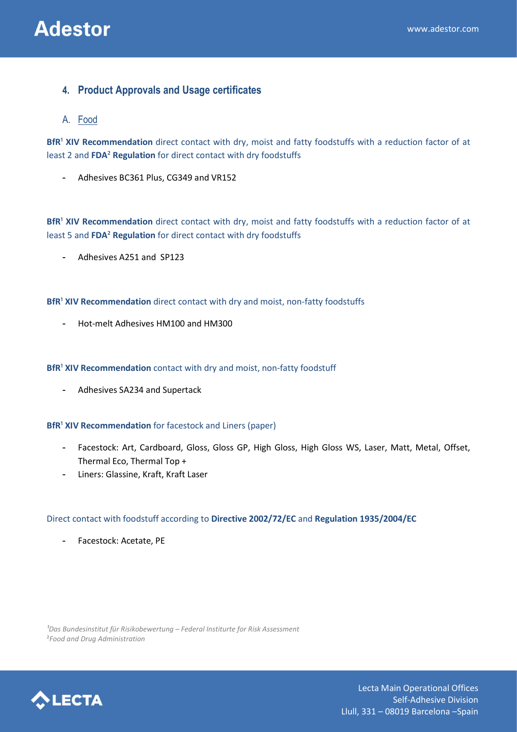

## 4. Product Approvals and Usage certificates

## A. Food

BfR<sup>1</sup> XIV Recommendation direct contact with dry, moist and fatty foodstuffs with a reduction factor of at least 2 and FDA² Regulation for direct contact with dry foodstuffs

- Adhesives BC361 Plus, CG349 and VR152

BfR<sup>1</sup> XIV Recommendation direct contact with dry, moist and fatty foodstuffs with a reduction factor of at least 5 and FDA² Regulation for direct contact with dry foodstuffs

- Adhesives A251 and SP123

BfR<sup>1</sup> XIV Recommendation direct contact with dry and moist, non-fatty foodstuffs

- Hot-melt Adhesives HM100 and HM300

#### BfR<sup>1</sup> XIV Recommendation contact with dry and moist, non-fatty foodstuff

Adhesives SA234 and Supertack

#### BfR<sup>1</sup> XIV Recommendation for facestock and Liners (paper)

- Facestock: Art, Cardboard, Gloss, Gloss GP, High Gloss, High Gloss WS, Laser, Matt, Metal, Offset, Thermal Eco, Thermal Top +
- Liners: Glassine, Kraft, Kraft Laser

#### Direct contact with foodstuff according to Directive 2002/72/EC and Regulation 1935/2004/EC

- Facestock: Acetate, PE

 $1$ Das Bundesinstitut für Risikobewertung – Federal Institurte for Risk Assessment ²Food and Drug Administration

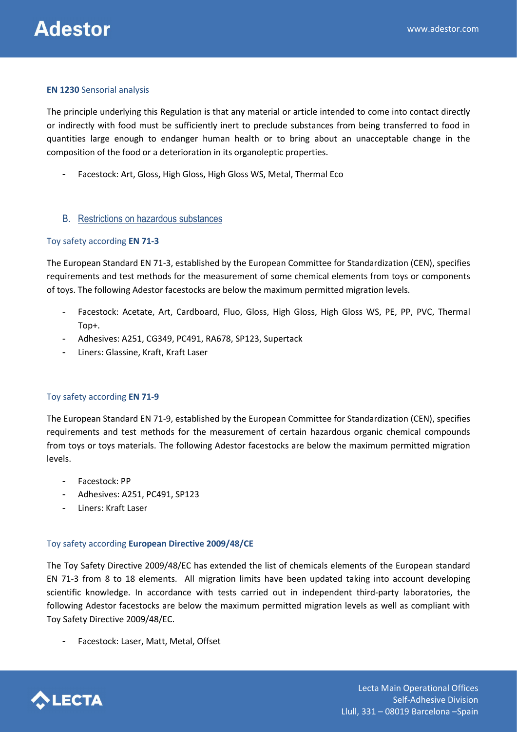

#### EN 1230 Sensorial analysis

The principle underlying this Regulation is that any material or article intended to come into contact directly or indirectly with food must be sufficiently inert to preclude substances from being transferred to food in quantities large enough to endanger human health or to bring about an unacceptable change in the composition of the food or a deterioration in its organoleptic properties.

Facestock: Art, Gloss, High Gloss, High Gloss WS, Metal, Thermal Eco

#### B. Restrictions on hazardous substances

#### Toy safety according EN 71-3

The European Standard EN 71-3, established by the European Committee for Standardization (CEN), specifies requirements and test methods for the measurement of some chemical elements from toys or components of toys. The following Adestor facestocks are below the maximum permitted migration levels.

- Facestock: Acetate, Art, Cardboard, Fluo, Gloss, High Gloss, High Gloss WS, PE, PP, PVC, Thermal Top+.
- Adhesives: A251, CG349, PC491, RA678, SP123, Supertack
- Liners: Glassine, Kraft, Kraft Laser

#### Toy safety according EN 71-9

The European Standard EN 71-9, established by the European Committee for Standardization (CEN), specifies requirements and test methods for the measurement of certain hazardous organic chemical compounds from toys or toys materials. The following Adestor facestocks are below the maximum permitted migration levels.

- Facestock: PP
- Adhesives: A251, PC491, SP123
- Liners: Kraft Laser

#### Toy safety according European Directive 2009/48/CE

The Toy Safety Directive 2009/48/EC has extended the list of chemicals elements of the European standard EN 71-3 from 8 to 18 elements. All migration limits have been updated taking into account developing scientific knowledge. In accordance with tests carried out in independent third-party laboratories, the following Adestor facestocks are below the maximum permitted migration levels as well as compliant with Toy Safety Directive 2009/48/EC.

Facestock: Laser, Matt, Metal, Offset

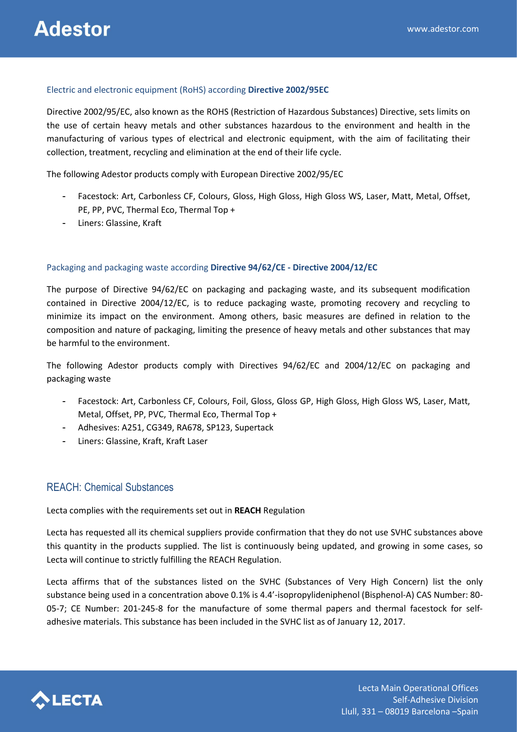

#### Electric and electronic equipment (RoHS) according Directive 2002/95EC

Directive 2002/95/EC, also known as the ROHS (Restriction of Hazardous Substances) Directive, sets limits on the use of certain heavy metals and other substances hazardous to the environment and health in the manufacturing of various types of electrical and electronic equipment, with the aim of facilitating their collection, treatment, recycling and elimination at the end of their life cycle.

The following Adestor products comply with European Directive 2002/95/EC

- Facestock: Art, Carbonless CF, Colours, Gloss, High Gloss, High Gloss WS, Laser, Matt, Metal, Offset, PE, PP, PVC, Thermal Eco, Thermal Top +
- Liners: Glassine, Kraft

#### Packaging and packaging waste according Directive 94/62/CE - Directive 2004/12/EC

The purpose of Directive 94/62/EC on packaging and packaging waste, and its subsequent modification contained in Directive 2004/12/EC, is to reduce packaging waste, promoting recovery and recycling to minimize its impact on the environment. Among others, basic measures are defined in relation to the composition and nature of packaging, limiting the presence of heavy metals and other substances that may be harmful to the environment.

The following Adestor products comply with Directives 94/62/EC and 2004/12/EC on packaging and packaging waste

- Facestock: Art, Carbonless CF, Colours, Foil, Gloss, Gloss GP, High Gloss, High Gloss WS, Laser, Matt, Metal, Offset, PP, PVC, Thermal Eco, Thermal Top +
- Adhesives: A251, CG349, RA678, SP123, Supertack
- Liners: Glassine, Kraft, Kraft Laser

## REACH: Chemical Substances

Lecta complies with the requirements set out in REACH Regulation

Lecta has requested all its chemical suppliers provide confirmation that they do not use SVHC substances above this quantity in the products supplied. The list is continuously being updated, and growing in some cases, so Lecta will continue to strictly fulfilling the REACH Regulation.

Lecta affirms that of the substances listed on the SVHC (Substances of Very High Concern) list the only substance being used in a concentration above 0.1% is 4.4'-isopropylideniphenol (Bisphenol-A) CAS Number: 80- 05-7; CE Number: 201-245-8 for the manufacture of some thermal papers and thermal facestock for selfadhesive materials. This substance has been included in the SVHC list as of January 12, 2017.